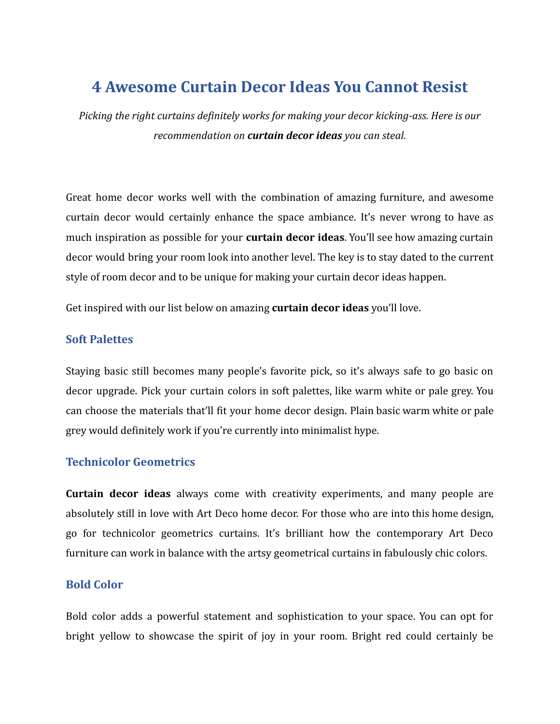# **4 Awesome Curtain Decor Ideas You Cannot Resist**

*Picking the right curtains definitely works for making your decor kicking-ass. Here is our recommendation on curtain decor ideas you can steal.*

Great home decor works well with the combination of amazing furniture, and awesome curtain decor would certainly enhance the space ambiance. It's never wrong to have as much inspiration as possible for your **curtain decor ideas**. You'll see how amazing curtain decor would bring your room look into another level. The key is to stay dated to the current style of room decor and to be unique for making your curtain decor ideas happen.

Get inspired with our list below on amazing **curtain decor ideas** you'll love.

#### **Soft Palettes**

Staying basic still becomes many people's favorite pick, so it's always safe to go basic on decor upgrade. Pick your curtain colors in soft palettes, like warm white or pale grey. You can choose the materials that'll fit your home decor design. Plain basic warm white or pale grey would definitely work if you're currently into minimalist hype.

#### **Technicolor Geometrics**

**Curtain decor ideas** always come with creativity experiments, and many people are absolutely still in love with Art Deco home decor. For those who are into this home design, go for technicolor geometrics curtains. It's brilliant how the contemporary Art Deco furniture can work in balance with the artsy geometrical curtains in fabulously chic colors.

### **Bold Color**

Bold color adds a powerful statement and sophistication to your space. You can opt for bright yellow to showcase the spirit of joy in your room. Bright red could certainly be